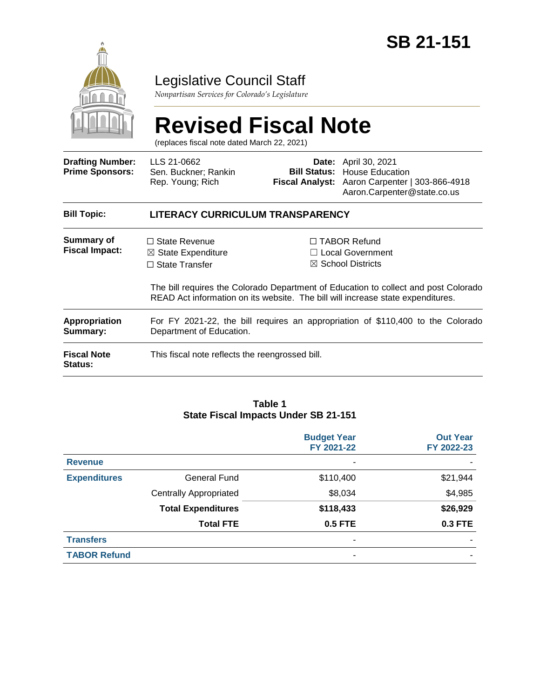

## Legislative Council Staff

*Nonpartisan Services for Colorado's Legislature*

# **Revised Fiscal Note**

(replaces fiscal note dated March 22, 2021)

| <b>Drafting Number:</b><br><b>Prime Sponsors:</b> | LLS 21-0662<br>Sen. Buckner; Rankin<br>Rep. Young; Rich                                                     |  | <b>Date:</b> April 30, 2021<br><b>Bill Status:</b> House Education<br>Fiscal Analyst: Aaron Carpenter   303-866-4918<br>Aaron.Carpenter@state.co.us                                                                                                      |
|---------------------------------------------------|-------------------------------------------------------------------------------------------------------------|--|----------------------------------------------------------------------------------------------------------------------------------------------------------------------------------------------------------------------------------------------------------|
| <b>Bill Topic:</b>                                | LITERACY CURRICULUM TRANSPARENCY                                                                            |  |                                                                                                                                                                                                                                                          |
| Summary of<br><b>Fiscal Impact:</b>               | $\Box$ State Revenue<br>$\boxtimes$ State Expenditure<br>$\Box$ State Transfer                              |  | $\Box$ TABOR Refund<br>$\Box$ Local Government<br>$\boxtimes$ School Districts<br>The bill requires the Colorado Department of Education to collect and post Colorado<br>READ Act information on its website. The bill will increase state expenditures. |
| <b>Appropriation</b><br>Summary:                  | For FY 2021-22, the bill requires an appropriation of \$110,400 to the Colorado<br>Department of Education. |  |                                                                                                                                                                                                                                                          |
| <b>Fiscal Note</b><br>Status:                     | This fiscal note reflects the reengrossed bill.                                                             |  |                                                                                                                                                                                                                                                          |

#### **Table 1 State Fiscal Impacts Under SB 21-151**

|                     |                               | <b>Budget Year</b><br>FY 2021-22 | <b>Out Year</b><br>FY 2022-23 |
|---------------------|-------------------------------|----------------------------------|-------------------------------|
| <b>Revenue</b>      |                               | -                                |                               |
| <b>Expenditures</b> | General Fund                  | \$110,400                        | \$21,944                      |
|                     | <b>Centrally Appropriated</b> | \$8,034                          | \$4,985                       |
|                     | <b>Total Expenditures</b>     | \$118,433                        | \$26,929                      |
|                     | <b>Total FTE</b>              | <b>0.5 FTE</b>                   | <b>0.3 FTE</b>                |
| <b>Transfers</b>    |                               | ۰                                |                               |
| <b>TABOR Refund</b> |                               | ۰                                |                               |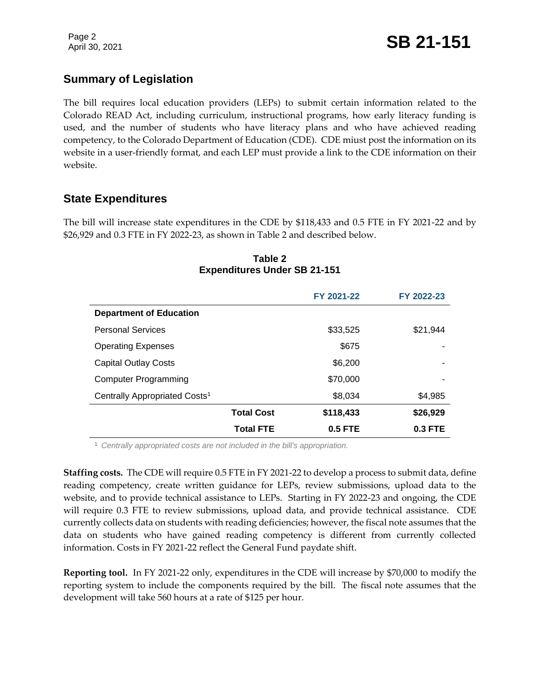### **Summary of Legislation**

The bill requires local education providers (LEPs) to submit certain information related to the Colorado READ Act, including curriculum, instructional programs, how early literacy funding is used, and the number of students who have literacy plans and who have achieved reading competency, to the Colorado Department of Education (CDE). CDE miust post the information on its website in a user-friendly format, and each LEP must provide a link to the CDE information on their website.

### **State Expenditures**

The bill will increase state expenditures in the CDE by \$118,433 and 0.5 FTE in FY 2021-22 and by \$26,929 and 0.3 FTE in FY 2022-23, as shown in Table 2 and described below.

# **FY 2021-22 FY 2022-23 Department of Education** Personal Services  $$33,525$   $$21,944$ Operating Expenses  $$675$ Capital Outlay Costs **\$6,200** Computer Programming  $$70,000$ Centrally Appropriated Costs<sup>1</sup> 68,034 \$8,034 \$4,985 **Total Cost \$118,433 \$26,929 Total FTE 0.5 FTE 0.3 FTE**

#### **Table 2 Expenditures Under SB 21-151**

<sup>1</sup> *Centrally appropriated costs are not included in the bill's appropriation.*

**Staffing costs.** The CDE will require 0.5 FTE in FY 2021-22 to develop a process to submit data, define reading competency, create written guidance for LEPs, review submissions, upload data to the website, and to provide technical assistance to LEPs. Starting in FY 2022-23 and ongoing, the CDE will require 0.3 FTE to review submissions, upload data, and provide technical assistance. CDE currently collects data on students with reading deficiencies; however, the fiscal note assumes that the data on students who have gained reading competency is different from currently collected information. Costs in FY 2021-22 reflect the General Fund paydate shift.

**Reporting tool.** In FY 2021-22 only, expenditures in the CDE will increase by \$70,000 to modify the reporting system to include the components required by the bill. The fiscal note assumes that the development will take 560 hours at a rate of \$125 per hour.